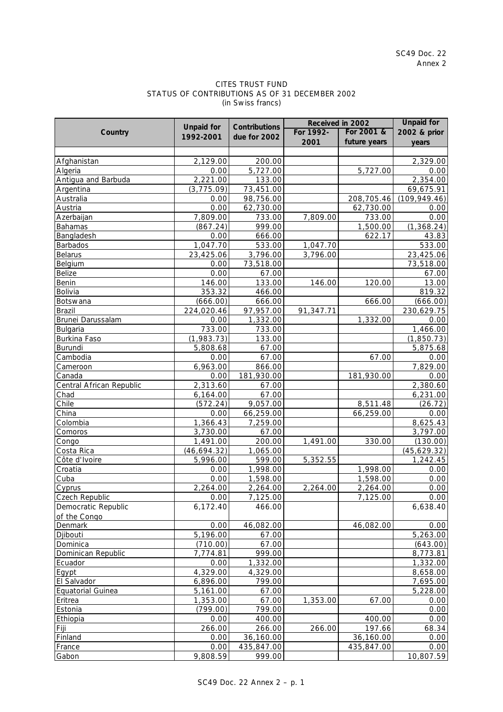## CITES TRUST FUND STATUS OF CONTRIBUTIONS AS OF 31 DECEMBER 2002 (in Swiss francs)

|                          |                   |                      | Received in 2002 |                  | <b>Unpaid for</b>     |
|--------------------------|-------------------|----------------------|------------------|------------------|-----------------------|
| Country                  | <b>Unpaid for</b> | <b>Contributions</b> | For 1992-        | For 2001 &       | 2002 & prior          |
|                          | 1992-2001         | due for 2002         | 2001             | future years     | years                 |
|                          |                   |                      |                  |                  |                       |
| Afghanistan              | 2,129.00          | 200.00               |                  |                  | 2,329.00              |
| Algeria                  | 0.00              | 5,727.00             |                  | 5,727.00         | 0.00                  |
| Antigua and Barbuda      | 2,221.00          | 133.00               |                  |                  | 2,354.00              |
| Argentina                | (3, 775.09)       | 73,451.00            |                  |                  | 69,675.91             |
| Australia                | 0.00              | 98,756.00            |                  | 208,705.46       | (109, 949.46)         |
| Austria                  | 0.00              | 62,730.00            |                  | 62,730.00        | 0.00                  |
| Azerbaijan               | 7,809.00          | 733.00               | 7,809.00         | 733.00           | 0.00                  |
| Bahamas                  | (867.24)          | 999.00               |                  | 1,500.00         | (1, 368.24)           |
| Bangladesh               | 0.00              | 666.00               |                  | 622.17           | 43.83                 |
| Barbados                 | 1,047.70          | 533.00               | 1,047.70         |                  | 533.00                |
| <b>Belarus</b>           | 23,425.06         | 3,796.00             | 3,796.00         |                  | 23,425.06             |
| Belgium                  | 0.00              | 73,518.00            |                  |                  | 73,518.00             |
| <b>Belize</b>            | 0.00              | 67.00                |                  |                  | 67.00                 |
| Benin                    | 146.00            | 133.00               | 146.00           | 120.00           | 13.00                 |
| Bolivia                  | 353.32            | 466.00               |                  |                  | 819.32                |
| Botswana                 | (666.00)          | 666.00               |                  | 666.00           | (666.00)              |
| Brazil                   | 224,020.46        | 97,957.00            | 91,347.71        |                  | 230,629.75            |
| Brunei Darussalam        | 0.00              | 1,332.00             |                  | 1,332.00         | 0.00                  |
| Bulgaria                 | 733.00            | 733.00               |                  |                  | 1,466.00              |
| Burkina Faso             | (1,983.73)        | 133.00               |                  |                  | (1,850.73)            |
| Burundi                  | 5,808.68          | 67.00                |                  |                  | 5,875.68              |
| Cambodia                 | 0.00              | 67.00                |                  | 67.00            | 0.00                  |
| Cameroon                 | 6,963.00          | 866.00               |                  |                  | 7,829.00              |
| Canada                   | 0.00              | 181,930.00           |                  | 181,930.00       | 0.00                  |
| Central African Republic | 2,313.60          | 67.00                |                  |                  | 2,380.60              |
| Chad                     | 6,164.00          | 67.00                |                  |                  | 6,231.00              |
| Chile                    | (572.24)          | 9,057.00             |                  | 8,511.48         | (26.72)               |
| China                    | 0.00              | 66,259.00            |                  | 66,259.00        | 0.00                  |
| Colombia                 | 1,366.43          | 7,259.00             |                  |                  | 8,625.43              |
| Comoros                  | 3,730.00          | 67.00                |                  |                  | 3,797.00              |
| Congo                    | 1,491.00          | 200.00               | 1,491.00         | 330.00           | (130.00)              |
| Costa Rica               | (46, 694.32)      | 1,065.00             |                  |                  | (45, 629.32)          |
| Côte d'Ivoire            | 5,996.00          | 599.00               | 5,352.55         |                  | 1,242.45              |
| Croatia                  | 0.00              | 1,998.00             |                  | 1,998.00         | 0.00                  |
| Cuba                     | 0.00              | 1,598.00             |                  | 1,598.00         | 0.00                  |
| Cyprus                   | 2,264.00          | 2,264.00             | 2,264.00         | 2,264.00         | 0.00                  |
| Czech Republic           | 0.00              | 7,125.00             |                  | 7,125.00         | 0.00                  |
| Democratic Republic      | 6,172.40          | 466.00               |                  |                  | 6,638.40              |
| of the Congo             |                   |                      |                  |                  |                       |
| Denmark                  | 0.00              | 46,082.00            |                  | 46,082.00        | 0.00                  |
| Djibouti                 | 5,196.00          | 67.00                |                  |                  | 5,263.00              |
| Dominica                 | (710.00)          | 67.00                |                  |                  | (643.00)              |
| Dominican Republic       | 7,774.81          | 999.00               |                  |                  | 8,773.81              |
| Ecuador                  | 0.00              | 1,332.00             |                  |                  | $\overline{1,332.00}$ |
| Egypt                    | 4,329.00          | 4,329.00             |                  |                  | 8,658.00              |
| El Salvador              | 6,896.00          | 799.00               |                  |                  | 7,695.00              |
| Equatorial Guinea        | 5,161.00          | 67.00                |                  |                  | 5,228.00              |
|                          | 1,353.00          | 67.00                |                  | 67.00            |                       |
| Eritrea                  | (799.00)          | 799.00               | 1,353.00         |                  | 0.00<br>0.00          |
| Estonia                  |                   |                      |                  |                  |                       |
| Ethiopia                 | 0.00<br>266.00    | 400.00               | 266.00           | 400.00<br>197.66 | 0.00<br>68.34         |
| Fiji                     |                   | 266.00               |                  |                  |                       |
| Finland                  | 0.00              | 36,160.00            |                  | 36,160.00        | 0.00                  |
| France                   | 0.00              | 435,847.00           |                  | 435,847.00       | 0.00                  |
| Gabon                    | 9,808.59          | 999.00               |                  |                  | 10,807.59             |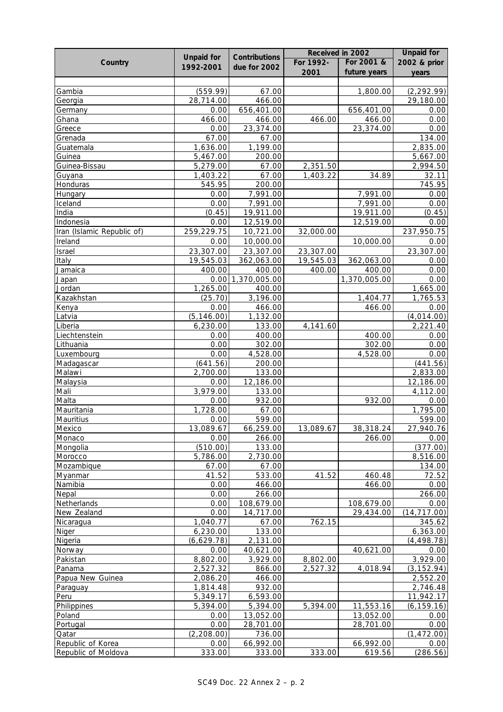|                            |                   |                      | Received in 2002     |              | <b>Unpaid for</b> |
|----------------------------|-------------------|----------------------|----------------------|--------------|-------------------|
| Country                    | <b>Unpaid for</b> | <b>Contributions</b> | For 1992-            | For 2001 &   | 2002 & prior      |
|                            | 1992-2001         | due for 2002         | 2001                 | future years | years             |
|                            |                   |                      |                      |              |                   |
| Gambia                     | (559.99)          | 67.00                |                      | 1,800.00     | (2, 292.99)       |
| Georgia                    | 28,714.00         | 466.00               |                      |              | 29,180.00         |
| Germany                    | 0.00              | 656,401.00           |                      | 656,401.00   | 0.00              |
| Ghana                      | 466.00            | 466.00               | 466.00               | 466.00       | 0.00              |
| Greece                     | 0.00              | 23,374.00            |                      | 23,374.00    | 0.00              |
| Grenada                    | 67.00             | 67.00                |                      |              | 134.00            |
| Guatemala                  | 1,636.00          | 1,199.00             |                      |              | 2,835.00          |
| Guinea                     | 5,467.00          | 200.00               |                      |              | 5,667.00          |
| Guinea-Bissau              | 5,279.00          | 67.00                | 2,351.50             |              | 2,994.50          |
| Guyana                     | 1,403.22          | 67.00                | 1,403.22             | 34.89        | 32.11             |
| Honduras                   | 545.95            | 200.00               |                      |              | 745.95            |
| Hungary                    | 0.00              | 7,991.00             |                      | 7,991.00     | 0.00              |
| Iceland                    | 0.00              | 7,991.00             |                      | 7,991.00     | 0.00              |
| India                      | (0.45)            | 19,911.00            |                      | 19,911.00    | (0.45)            |
| Indonesia                  | 0.00              | 12,519.00            |                      | 12,519.00    | 0.00              |
| Iran (Islamic Republic of) | 259,229.75        | 10,721.00            | 32,000.00            |              | 237,950.75        |
| Ireland                    | 0.00              | 10,000.00            |                      | 10,000.00    | 0.00              |
| Israel                     | 23,307.00         | 23,307.00            | 23,307.00            |              | 23,307.00         |
| Italy                      | 19,545.03         | 362,063.00           | 19,545.03            | 362,063.00   | 0.00              |
| Jamaica                    | 400.00            | 400.00               | 400.00               | 400.00       | 0.00              |
| Japan                      | 0.00              | 1,370,005.00         |                      | 1,370,005.00 | 0.00              |
| Jordan                     | 1,265.00          | 400.00               |                      |              | 1,665.00          |
| Kazakhstan                 | (25.70)           | 3,196.00             |                      | 1,404.77     | 1,765.53          |
| Kenya                      | 0.00              | 466.00               |                      | 466.00       | 0.00              |
| Latvia                     | (5, 146.00)       | 1,132.00             |                      |              | (4,014.00)        |
| Liberia                    | 6,230.00          | 133.00               | 4,141.60             |              | 2,221.40          |
| Liechtenstein              | 0.00              | 400.00               |                      | 400.00       | 0.00              |
| Lithuania                  | 0.00              | 302.00               |                      | 302.00       | 0.00              |
| Luxembourg                 | 0.00              | 4,528.00             |                      | 4,528.00     | 0.00              |
| Madagascar                 | (641.56)          | 200.00               |                      |              | (441.56)          |
| Malawi                     | 2,700.00          | 133.00               |                      |              | 2,833.00          |
| Malaysia                   | 0.00              | 12,186.00            |                      |              | 12,186.00         |
| Mali                       | 3,979.00          | 133.00               |                      |              | 4,112.00          |
| Malta                      | 0.00              | 932.00               |                      | 932.00       | 0.00              |
| Mauritania                 | 1,728.00          | 67.00                |                      |              | 1,795.00          |
| Mauritius                  | 0.00              | 599.00               |                      |              | 599.00            |
| Mexico                     | 13,089.67         | 66,259.00            | 13,089.67            | 38,318.24    | 27,940.76         |
| Monaco                     | 0.00              | 266.00               |                      | 266.00       | 0.00              |
| Mongolia                   | (510.00)          | 133.00               |                      |              | (377.00)          |
| Morocco                    | 5,786.00          | 2,730.00             |                      |              | 8,516.00          |
| Mozambique                 | 67.00             | 67.00                |                      |              | 134.00            |
| Myanmar                    | 41.52             | 533.00               | 41.52                | 460.48       | 72.52             |
| Namibia                    | 0.00              | 466.00               |                      | 466.00       | 0.00              |
| Nepal                      | 0.00              | 266.00               |                      |              | 266.00            |
| Netherlands                | 0.00              | 108,679.00           |                      | 108,679.00   | 0.00              |
| New Zealand                | 0.00              | 14,717.00            |                      | 29,434.00    | (14, 717.00)      |
| Nicaragua                  | 1,040.77          | 67.00                | 762.15               |              | 345.62            |
| Niger                      | 6,230.00          | 133.00               |                      |              | 6,363.00          |
| Nigeria                    | (6,629.78)        | 2,131.00             |                      |              | (4, 498.78)       |
|                            | 0.00              | 40,621.00            |                      | 40,621.00    | 0.00              |
| Norway                     | 8,802.00          | 3,929.00             |                      |              | 3,929.00          |
| Pakistan<br>Panama         | 2,527.32          | 866.00               | 8,802.00<br>2,527.32 |              | (3, 152.94)       |
|                            |                   | 466.00               |                      | 4,018.94     | 2,552.20          |
| Papua New Guinea           | 2,086.20          |                      |                      |              |                   |
| Paraguay                   | 1,814.48          | 932.00               |                      |              | 2,746.48          |
| Peru                       | 5,349.17          | 6,593.00             |                      |              | 11,942.17         |
| Philippines                | 5,394.00          | 5,394.00             | 5,394.00             | 11,553.16    | (6, 159.16)       |
| Poland                     | 0.00              | 13,052.00            |                      | 13,052.00    | 0.00              |
| Portugal                   | 0.00              | 28,701.00            |                      | 28,701.00    | 0.00              |
| Qatar                      | (2, 208.00)       | 736.00               |                      |              | (1, 472.00)       |
| Republic of Korea          | 0.00              | 66,992.00            |                      | 66,992.00    | 0.00              |
| Republic of Moldova        | 333.00            | 333.00               | 333.00               | 619.56       | (286.56)          |